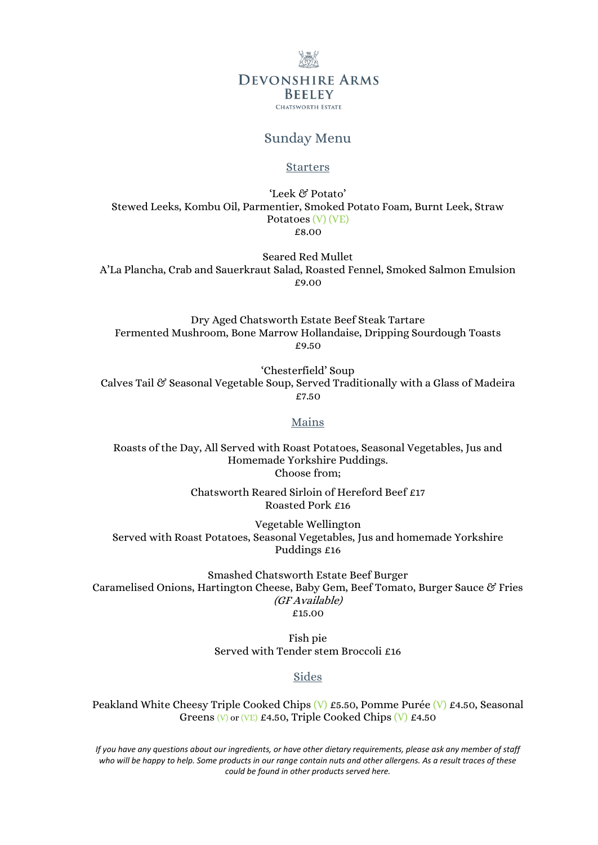# **DEVONSHIRE ARMS BEELEY CHATSWORTH ESTATE**

## Sunday Menu

#### **Starters**

'Leek & Potato' Stewed Leeks, Kombu Oil, Parmentier, Smoked Potato Foam, Burnt Leek, Straw Potatoes (V) (VE) £8.00

Seared Red Mullet A'La Plancha, Crab and Sauerkraut Salad, Roasted Fennel, Smoked Salmon Emulsion £9.00

Dry Aged Chatsworth Estate Beef Steak Tartare Fermented Mushroom, Bone Marrow Hollandaise, Dripping Sourdough Toasts £9.50

'Chesterfield' Soup Calves Tail & Seasonal Vegetable Soup, Served Traditionally with a Glass of Madeira £7.50

#### Mains

Roasts of the Day, All Served with Roast Potatoes, Seasonal Vegetables, Jus and Homemade Yorkshire Puddings. Choose from;

> Chatsworth Reared Sirloin of Hereford Beef £17 Roasted Pork £16

Vegetable Wellington Served with Roast Potatoes, Seasonal Vegetables, Jus and homemade Yorkshire Puddings £16

Smashed Chatsworth Estate Beef Burger Caramelised Onions, Hartington Cheese, Baby Gem, Beef Tomato, Burger Sauce & Fries (GF Available) £15.00

> Fish pie Served with Tender stem Broccoli £16

## Sides

Peakland White Cheesy Triple Cooked Chips (V) £5.50, Pomme Purée (V) £4.50, Seasonal Greens (V) or (VE) £4.50, Triple Cooked Chips (V) £4.50

*If you have any questions about our ingredients, or have other dietary requirements, please ask any member of staff who will be happy to help. Some products in our range contain nuts and other allergens. As a result traces of these could be found in other products served here.*